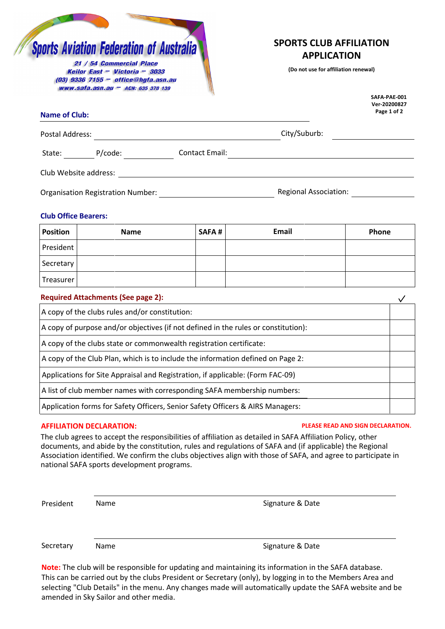# **Sports Aviation Federation of Australia**

21 / 54 Commercial Place Keilor East - Victoria - 3033 (03) 9336 7155 - office@hgfa.asn.au www.safa.asn.au - ACN: 635 378 139

# **SPORTS C[LUB AFFILIAT](mailto:office@hgfa.asn.au)ION APPLICATION**

**(Do not use for affiliation renewal)**

**SAFA-PAE-001**

| <b>Name of Club:</b>                     |                | Ver-20200827<br>Page 1 of 2  |  |
|------------------------------------------|----------------|------------------------------|--|
| Postal Address:                          |                | City/Suburb:                 |  |
| P/code:<br>State:                        | Contact Email: |                              |  |
| Club Website address:                    |                |                              |  |
| <b>Organisation Registration Number:</b> |                | <b>Regional Association:</b> |  |

### **Club Office Bearers:**

| <b>Position</b> | <b>Name</b> | <b>SAFA#</b> | Email | Phone |
|-----------------|-------------|--------------|-------|-------|
| President       |             |              |       |       |
| Secretary       |             |              |       |       |
| Treasurer       |             |              |       |       |

| <b>Required Attachments (See page 2):</b>                                          |  |
|------------------------------------------------------------------------------------|--|
| A copy of the clubs rules and/or constitution:                                     |  |
| A copy of purpose and/or objectives (if not defined in the rules or constitution): |  |
| A copy of the clubs state or commonwealth registration certificate:                |  |
| A copy of the Club Plan, which is to include the information defined on Page 2:    |  |
| Applications for Site Appraisal and Registration, if applicable: (Form FAC-09)     |  |
| A list of club member names with corresponding SAFA membership numbers:            |  |
| Application forms for Safety Officers, Senior Safety Officers & AIRS Managers:     |  |

Name

### **AFFILIATION DECLARATION: PLEASE READ AND SIGN DECLARATION.**

The club agrees to accept the responsibilities of affiliation as detailed in SAFA Affiliation Policy, other documents, and abide by the constitution, rules and regulations of SAFA and (if applicable) the Regional Association identified. We confirm the clubs objectives align with those of SAFA, and agree to participate in national SAFA sports development programs.

President

Signature & Date

Secretary

Name Signature & Date

**Note:** The club will be responsible for updating and maintaining its information in the SAFA database. This can be carried out by the clubs President or Secretary (only), by logging in to the Members Area and selecting "Club Details" in the menu. Any changes made will automatically update the SAFA website and be amended in Sky Sailor and other media.